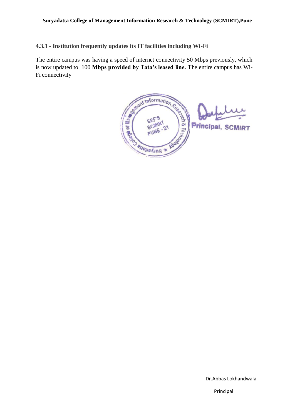**4.3.1 - Institution frequently updates its IT facilities including Wi-Fi**

The entire campus was having a speed of internet connectivity 50 Mbps previously, which is now updated to 100 **Mbps provided by Tata's leased line. T**he entire campus has Wi-Fi connectivity

BRAINING SEFIRE 24 **Principal, SCMIRT** CON eupperins

Dr.Abbas Lokhandwala

Principal